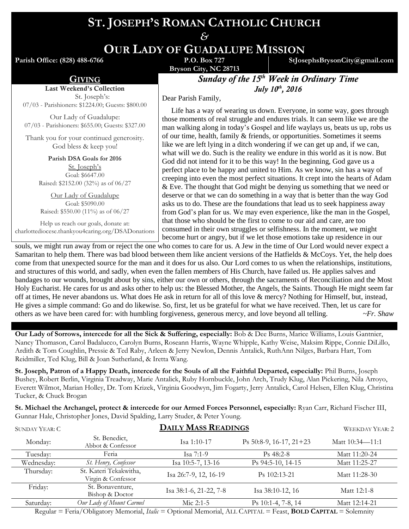# **ST. JOSEPH'S ROMAN CATHOLIC CHURCH**

*&* **OUR LADY OF GUADALUPE MISSION**

**Parish Office: (828) 488-6766** 

Last Weekend's Collection St. Joseph's: 07/03 - Parishioners: \$1224.00; Guests: \$800.00 Our Lady of Guadalupe: 07/03 - Parishioners: \$655.00; Guests: \$327.00 Thank you for your continued generosity. God bless & keep you! **Parish DSA Goals for 2016** St. Joseph's Goal: \$6647.00 Raised: \$2152.00 (32%) as of 06/27 Our Lady of Guadalupe Goal: \$5090.00 Raised: \$550.00 (11%) as of 06/27 Help us reach our goals, donate at:

**Bryson City, NC 28713**

**StJosephsBrysonCity@gmail.com**

**GIVING Sunday of the 15<sup>th</sup> Week in Ordinary Time** *July 10th , 2016*

Dear Parish Family,

 Life has a way of wearing us down. Everyone, in some way, goes through those moments of real struggle and endures trials. It can seem like we are the man walking along in today's Gospel and life waylays us, beats us up, robs us of our time, health, family & friends, or opportunities. Sometimes it seems like we are left lying in a ditch wondering if we can get up and, if we can, what will we do. Such is the reality we endure in this world as it is now. But God did not intend for it to be this way! In the beginning, God gave us a perfect place to be happy and united to Him. As we know, sin has a way of creeping into even the most perfect situations. It crept into the hearts of Adam & Eve. The thought that God might be denying us something that we need or deserve or that we can do something in a way that is better than the way God asks us to do. These are the foundations that lead us to seek happiness away from God's plan for us. We may even experience, like the man in the Gospel, that those who should be the first to come to our aid and care, are too consumed in their own struggles or selfishness. In the moment, we might

charlottediocese.thankyou4caring.org/DSADonations become hurt or angry, but if we let those emotions take up residence in our souls, we might run away from or reject the one who comes to care for us. A Jew in the time of Our Lord would never expect a Samaritan to help them. There was bad blood between them like ancient versions of the Hatfields & McCoys. Yet, the help does come from that unexpected source for the man and it does for us also. Our Lord comes to us when the relationships, institutions, and structures of this world, and sadly, when even the fallen members of His Church, have failed us. He applies salves and bandages to our wounds, brought about by sins, either our own or others, through the sacraments of Reconciliation and the Most Holy Eucharist. He cares for us and asks other to help us: the Blessed Mother, the Angels, the Saints. Though He might seem far off at times, He never abandons us. What does He ask in return for all of this love & mercy? Nothing for Himself, but, instead, He gives a simple command: Go and do likewise. So, first, let us be grateful for what we have received. Then, let us care for others as we have been cared for: with humbling forgiveness, generous mercy, and love beyond all telling. *~Fr. Shaw*

**Our Lady of Sorrows, intercede for all the Sick & Suffering, especially:** Bob & Dee Burns, Marice Williams, Louis Gantnier, Nancy Thomason, Carol Badalucco, Carolyn Burns, Roseann Harris, Wayne Whipple, Kathy Weise, Maksim Rippe, Connie DiLillo, Ardith & Tom Coughlin, Pressie & Ted Raby, Arleen & Jerry Newlon, Dennis Antalick, RuthAnn Nilges, Barbara Hart, Tom Reidmiller, Ted Klug, Bill & Joan Sutherland, & Iretta Wang.

**St. Joseph, Patron of a Happy Death, intercede for the Souls of all the Faithful Departed, especially:** Phil Burns, Joseph Bushey, Robert Berlin, Virginia Treadway, Marie Antalick, Ruby Hornbuckle, John Arch, Trudy Klug, Alan Pickering, Nila Arroyo, Everett Wilmot, Marian Holley, Dr. Tom Krizek, Virginia Goodwyn, Jim Fogarty, Jerry Antalick, Carol Helsen, Ellen Klug, Christina Tucker, & Chuck Brogan

**St. Michael the Archangel, protect & intercede for our Armed Forces Personnel, especially:** Ryan Carr, Richard Fischer III, Gunnar Hale, Christopher Jones, David Spalding, Larry Studer, & Peter Young.

| <b>SUNDAY YEAR: C</b> | <b>DAILY MASS READINGS</b>                   |                        |                                 | <b>WEEKDAY YEAR: 2</b> |
|-----------------------|----------------------------------------------|------------------------|---------------------------------|------------------------|
| Monday:               | St. Benedict,<br>Abbot & Confessor           | Isa $1:10-17$          | Ps $50:8-9$ , $16-17$ , $21+23$ | Matt 10:34-11:1        |
| Tuesday:              | Feria                                        | Isa $7:1-9$            | $Ps$ 48:2-8                     | Matt 11:20-24          |
| Wednesday:            | St. Henry, Confessor                         | Isa 10:5-7, 13-16      | Ps 94:5-10, 14-15               | Matt 11:25-27          |
| Thursday:             | St. Kateri Tekakwitha,<br>Virgin & Confessor | Isa 26:7-9, 12, 16-19  | $Ps$ 102:13-21                  | Matt 11:28-30          |
| Friday:               | St. Bonaventure,<br>Bishop & Doctor          | Isa 38:1-6, 21-22, 7-8 | Isa 38:10-12, 16                | Matt 12:1-8            |
| Saturday:             | Our Lady of Mount Carmel                     | Mic $2:1-5$            | Ps 10:1-4, 7-8, 14              | Matt 12:14-21          |

Regular = Feria/Obligatory Memorial, *Italic* = Optional Memorial, ALL CAPITAL = Feast, **BOLD CAPITAL** = Solemnity